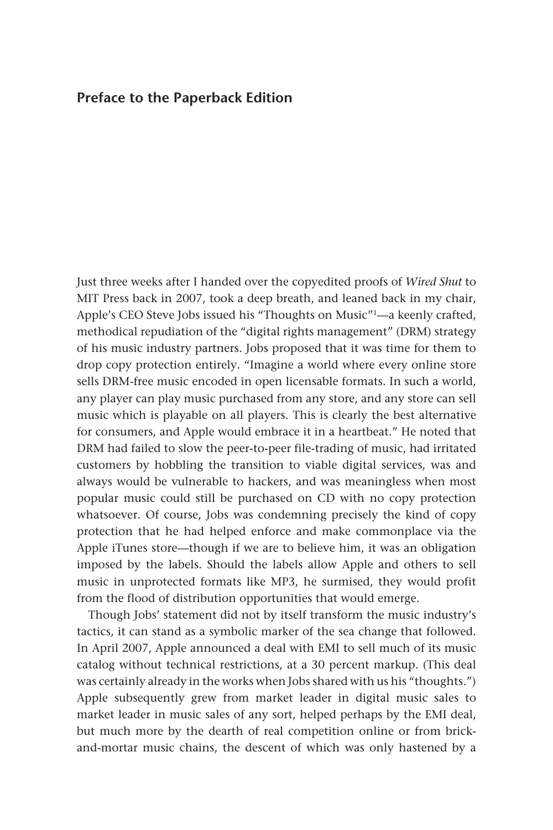## **Preface to the Paperback Edition**

Just three weeks after I handed over the copyedited proofs of *Wired Shut* to MIT Press back in 2007, took a deep breath, and leaned back in my chair, Apple's CEO Steve Jobs issued his "Thoughts on Music"<sup>1</sup>—a keenly crafted, methodical repudiation of the "digital rights management" (DRM) strategy of his music industry partners. Jobs proposed that it was time for them to drop copy protection entirely. "Imagine a world where every online store sells DRM-free music encoded in open licensable formats. In such a world, any player can play music purchased from any store, and any store can sell music which is playable on all players. This is clearly the best alternative for consumers, and Apple would embrace it in a heartbeat." He noted that DRM had failed to slow the peer-to-peer file-trading of music, had irritated customers by hobbling the transition to viable digital services, was and always would be vulnerable to hackers, and was meaningless when most popular music could still be purchased on CD with no copy protection whatsoever. Of course, Jobs was condemning precisely the kind of copy protection that he had helped enforce and make commonplace via the Apple iTunes store—though if we are to believe him, it was an obligation imposed by the labels. Should the labels allow Apple and others to sell music in unprotected formats like MP3, he surmised, they would profit from the flood of distribution opportunities that would emerge.

Though Jobs' statement did not by itself transform the music industry's tactics, it can stand as a symbolic marker of the sea change that followed. In April 2007, Apple announced a deal with EMI to sell much of its music catalog without technical restrictions, at a 30 percent markup. (This deal was certainly already in the works when Jobs shared with us his "thoughts.") Apple subsequently grew from market leader in digital music sales to market leader in music sales of any sort, helped perhaps by the EMI deal, but much more by the dearth of real competition online or from brickand-mortar music chains, the descent of which was only hastened by a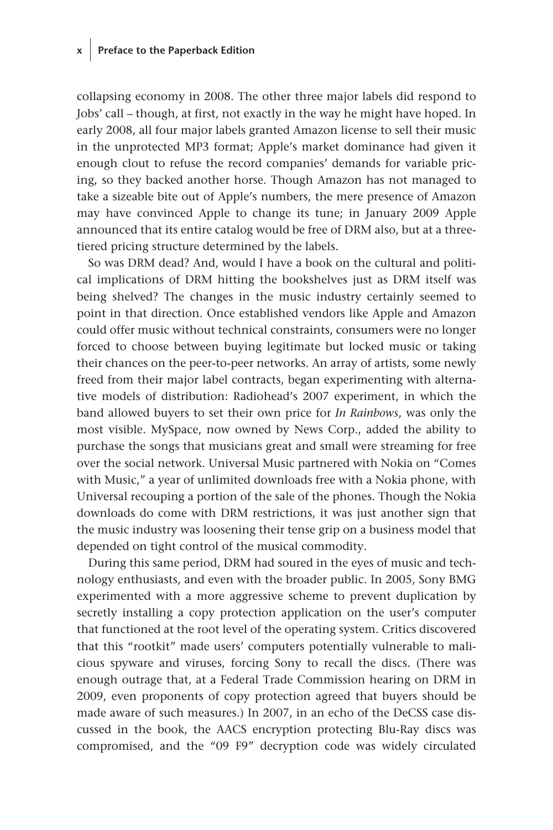# **x Preface to the Paperback Edition**

collapsing economy in 2008. The other three major labels did respond to Jobs' call – though, at first, not exactly in the way he might have hoped. In early 2008, all four major labels granted Amazon license to sell their music in the unprotected MP3 format; Apple's market dominance had given it enough clout to refuse the record companies' demands for variable pricing, so they backed another horse. Though Amazon has not managed to take a sizeable bite out of Apple's numbers, the mere presence of Amazon may have convinced Apple to change its tune; in January 2009 Apple announced that its entire catalog would be free of DRM also, but at a threetiered pricing structure determined by the labels.

So was DRM dead? And, would I have a book on the cultural and political implications of DRM hitting the bookshelves just as DRM itself was being shelved? The changes in the music industry certainly seemed to point in that direction. Once established vendors like Apple and Amazon could offer music without technical constraints, consumers were no longer forced to choose between buying legitimate but locked music or taking their chances on the peer-to-peer networks. An array of artists, some newly freed from their major label contracts, began experimenting with alternative models of distribution: Radiohead's 2007 experiment, in which the band allowed buyers to set their own price for *In Rainbows*, was only the most visible. MySpace, now owned by News Corp., added the ability to purchase the songs that musicians great and small were streaming for free over the social network. Universal Music partnered with Nokia on "Comes with Music," a year of unlimited downloads free with a Nokia phone, with Universal recouping a portion of the sale of the phones. Though the Nokia downloads do come with DRM restrictions, it was just another sign that the music industry was loosening their tense grip on a business model that depended on tight control of the musical commodity.

During this same period, DRM had soured in the eyes of music and technology enthusiasts, and even with the broader public. In 2005, Sony BMG experimented with a more aggressive scheme to prevent duplication by secretly installing a copy protection application on the user's computer that functioned at the root level of the operating system. Critics discovered that this "rootkit" made users' computers potentially vulnerable to malicious spyware and viruses, forcing Sony to recall the discs. (There was enough outrage that, at a Federal Trade Commission hearing on DRM in 2009, even proponents of copy protection agreed that buyers should be made aware of such measures.) In 2007, in an echo of the DeCSS case discussed in the book, the AACS encryption protecting Blu-Ray discs was compromised, and the "09 F9" decryption code was widely circulated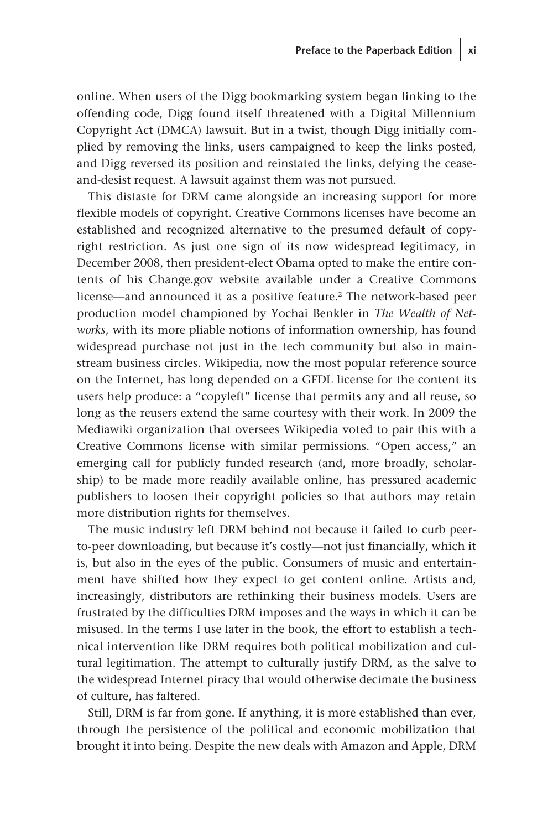online. When users of the Digg bookmarking system began linking to the offending code, Digg found itself threatened with a Digital Millennium Copyright Act (DMCA) lawsuit. But in a twist, though Digg initially complied by removing the links, users campaigned to keep the links posted, and Digg reversed its position and reinstated the links, defying the ceaseand-desist request. A lawsuit against them was not pursued.

This distaste for DRM came alongside an increasing support for more flexible models of copyright. Creative Commons licenses have become an established and recognized alternative to the presumed default of copyright restriction. As just one sign of its now widespread legitimacy, in December 2008, then president-elect Obama opted to make the entire contents of his Change.gov website available under a Creative Commons license—and announced it as a positive feature.<sup>2</sup> The network-based peer production model championed by Yochai Benkler in *The Wealth of Networks*, with its more pliable notions of information ownership, has found widespread purchase not just in the tech community but also in mainstream business circles. Wikipedia, now the most popular reference source on the Internet, has long depended on a GFDL license for the content its users help produce: a "copyleft" license that permits any and all reuse, so long as the reusers extend the same courtesy with their work. In 2009 the Mediawiki organization that oversees Wikipedia voted to pair this with a Creative Commons license with similar permissions. "Open access," an emerging call for publicly funded research (and, more broadly, scholarship) to be made more readily available online, has pressured academic publishers to loosen their copyright policies so that authors may retain more distribution rights for themselves.

The music industry left DRM behind not because it failed to curb peerto-peer downloading, but because it's costly—not just financially, which it is, but also in the eyes of the public. Consumers of music and entertainment have shifted how they expect to get content online. Artists and, increasingly, distributors are rethinking their business models. Users are frustrated by the difficulties DRM imposes and the ways in which it can be misused. In the terms I use later in the book, the effort to establish a technical intervention like DRM requires both political mobilization and cultural legitimation. The attempt to culturally justify DRM, as the salve to the widespread Internet piracy that would otherwise decimate the business of culture, has faltered.

Still, DRM is far from gone. If anything, it is more established than ever, through the persistence of the political and economic mobilization that brought it into being. Despite the new deals with Amazon and Apple, DRM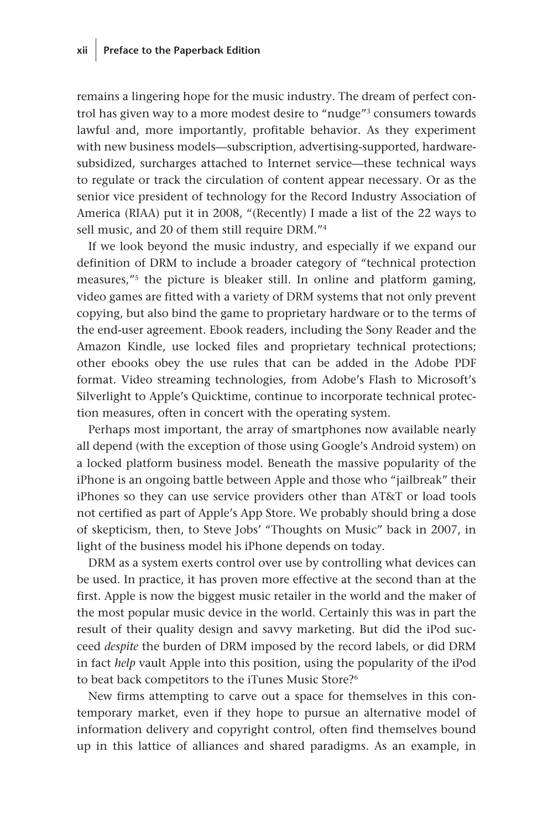remains a lingering hope for the music industry. The dream of perfect control has given way to a more modest desire to "nudge"3 consumers towards lawful and, more importantly, profitable behavior. As they experiment with new business models—subscription, advertising-supported, hardwaresubsidized, surcharges attached to Internet service—these technical ways to regulate or track the circulation of content appear necessary. Or as the senior vice president of technology for the Record Industry Association of America (RIAA) put it in 2008, "(Recently) I made a list of the 22 ways to sell music, and 20 of them still require DRM."4

If we look beyond the music industry, and especially if we expand our definition of DRM to include a broader category of "technical protection measures,"5 the picture is bleaker still. In online and platform gaming, video games are fitted with a variety of DRM systems that not only prevent copying, but also bind the game to proprietary hardware or to the terms of the end-user agreement. Ebook readers, including the Sony Reader and the Amazon Kindle, use locked files and proprietary technical protections; other ebooks obey the use rules that can be added in the Adobe PDF format. Video streaming technologies, from Adobe's Flash to Microsoft's Silverlight to Apple's Quicktime, continue to incorporate technical protection measures, often in concert with the operating system.

Perhaps most important, the array of smartphones now available nearly all depend (with the exception of those using Google's Android system) on a locked platform business model. Beneath the massive popularity of the iPhone is an ongoing battle between Apple and those who "jailbreak" their iPhones so they can use service providers other than AT&T or load tools not certified as part of Apple's App Store. We probably should bring a dose of skepticism, then, to Steve Jobs' "Thoughts on Music" back in 2007, in light of the business model his iPhone depends on today.

DRM as a system exerts control over use by controlling what devices can be used. In practice, it has proven more effective at the second than at the first. Apple is now the biggest music retailer in the world and the maker of the most popular music device in the world. Certainly this was in part the result of their quality design and savvy marketing. But did the iPod succeed *despite* the burden of DRM imposed by the record labels, or did DRM in fact *help* vault Apple into this position, using the popularity of the iPod to beat back competitors to the iTunes Music Store?<sup>6</sup>

New firms attempting to carve out a space for themselves in this contemporary market, even if they hope to pursue an alternative model of information delivery and copyright control, often find themselves bound up in this lattice of alliances and shared paradigms. As an example, in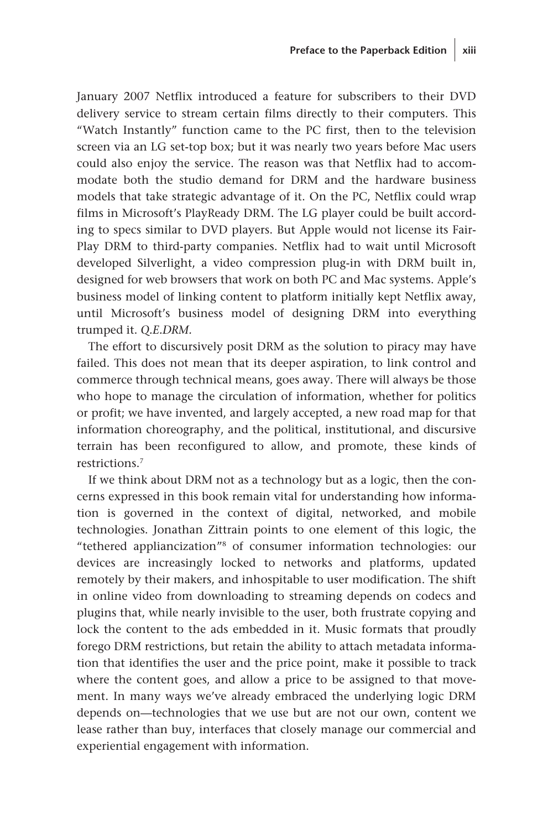January 2007 Netflix introduced a feature for subscribers to their DVD delivery service to stream certain films directly to their computers. This "Watch Instantly" function came to the PC first, then to the television screen via an LG set-top box; but it was nearly two years before Mac users could also enjoy the service. The reason was that Netflix had to accommodate both the studio demand for DRM and the hardware business models that take strategic advantage of it. On the PC, Netflix could wrap films in Microsoft's PlayReady DRM. The LG player could be built according to specs similar to DVD players. But Apple would not license its Fair-Play DRM to third-party companies. Netflix had to wait until Microsoft developed Silverlight, a video compression plug-in with DRM built in, designed for web browsers that work on both PC and Mac systems. Apple's business model of linking content to platform initially kept Netflix away, until Microsoft's business model of designing DRM into everything trumped it. *Q.E.DRM.*

The effort to discursively posit DRM as the solution to piracy may have failed. This does not mean that its deeper aspiration, to link control and commerce through technical means, goes away. There will always be those who hope to manage the circulation of information, whether for politics or profit; we have invented, and largely accepted, a new road map for that information choreography, and the political, institutional, and discursive terrain has been reconfigured to allow, and promote, these kinds of restrictions.7

If we think about DRM not as a technology but as a logic, then the concerns expressed in this book remain vital for understanding how information is governed in the context of digital, networked, and mobile technologies. Jonathan Zittrain points to one element of this logic, the "tethered appliancization"8 of consumer information technologies: our devices are increasingly locked to networks and platforms, updated remotely by their makers, and inhospitable to user modification. The shift in online video from downloading to streaming depends on codecs and plugins that, while nearly invisible to the user, both frustrate copying and lock the content to the ads embedded in it. Music formats that proudly forego DRM restrictions, but retain the ability to attach metadata information that identifies the user and the price point, make it possible to track where the content goes, and allow a price to be assigned to that movement. In many ways we've already embraced the underlying logic DRM depends on—technologies that we use but are not our own, content we lease rather than buy, interfaces that closely manage our commercial and experiential engagement with information.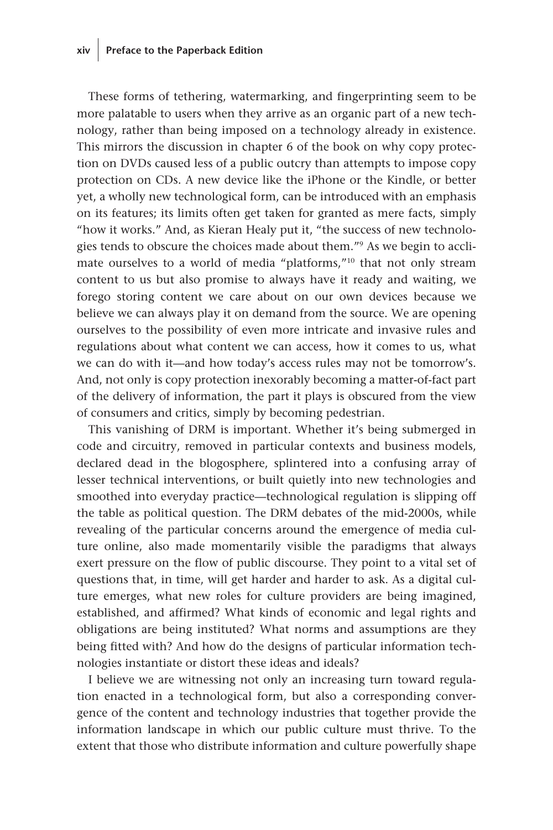## **xiv Preface to the Paperback Edition**

These forms of tethering, watermarking, and fingerprinting seem to be more palatable to users when they arrive as an organic part of a new technology, rather than being imposed on a technology already in existence. This mirrors the discussion in chapter 6 of the book on why copy protection on DVDs caused less of a public outcry than attempts to impose copy protection on CDs. A new device like the iPhone or the Kindle, or better yet, a wholly new technological form, can be introduced with an emphasis on its features; its limits often get taken for granted as mere facts, simply "how it works." And, as Kieran Healy put it, "the success of new technologies tends to obscure the choices made about them."9 As we begin to acclimate ourselves to a world of media "platforms,"10 that not only stream content to us but also promise to always have it ready and waiting, we forego storing content we care about on our own devices because we believe we can always play it on demand from the source. We are opening ourselves to the possibility of even more intricate and invasive rules and regulations about what content we can access, how it comes to us, what we can do with it—and how today's access rules may not be tomorrow's. And, not only is copy protection inexorably becoming a matter-of-fact part of the delivery of information, the part it plays is obscured from the view of consumers and critics, simply by becoming pedestrian.

This vanishing of DRM is important. Whether it's being submerged in code and circuitry, removed in particular contexts and business models, declared dead in the blogosphere, splintered into a confusing array of lesser technical interventions, or built quietly into new technologies and smoothed into everyday practice—technological regulation is slipping off the table as political question. The DRM debates of the mid-2000s, while revealing of the particular concerns around the emergence of media culture online, also made momentarily visible the paradigms that always exert pressure on the flow of public discourse. They point to a vital set of questions that, in time, will get harder and harder to ask. As a digital culture emerges, what new roles for culture providers are being imagined, established, and affirmed? What kinds of economic and legal rights and obligations are being instituted? What norms and assumptions are they being fitted with? And how do the designs of particular information technologies instantiate or distort these ideas and ideals?

I believe we are witnessing not only an increasing turn toward regulation enacted in a technological form, but also a corresponding convergence of the content and technology industries that together provide the information landscape in which our public culture must thrive. To the extent that those who distribute information and culture powerfully shape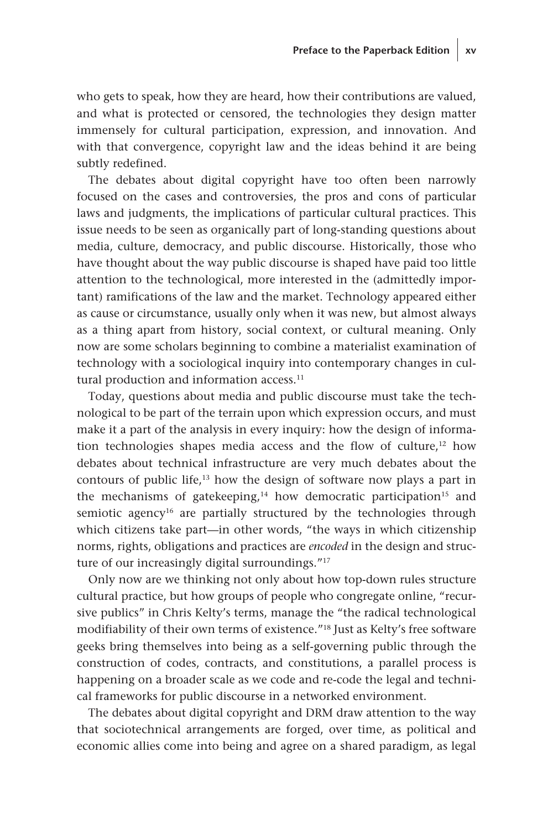who gets to speak, how they are heard, how their contributions are valued, and what is protected or censored, the technologies they design matter immensely for cultural participation, expression, and innovation. And with that convergence, copyright law and the ideas behind it are being subtly redefined.

The debates about digital copyright have too often been narrowly focused on the cases and controversies, the pros and cons of particular laws and judgments, the implications of particular cultural practices. This issue needs to be seen as organically part of long-standing questions about media, culture, democracy, and public discourse. Historically, those who have thought about the way public discourse is shaped have paid too little attention to the technological, more interested in the (admittedly important) ramifications of the law and the market. Technology appeared either as cause or circumstance, usually only when it was new, but almost always as a thing apart from history, social context, or cultural meaning. Only now are some scholars beginning to combine a materialist examination of technology with a sociological inquiry into contemporary changes in cultural production and information access.<sup>11</sup>

Today, questions about media and public discourse must take the technological to be part of the terrain upon which expression occurs, and must make it a part of the analysis in every inquiry: how the design of information technologies shapes media access and the flow of culture,<sup>12</sup> how debates about technical infrastructure are very much debates about the contours of public life,13 how the design of software now plays a part in the mechanisms of gatekeeping, $14$  how democratic participation<sup>15</sup> and semiotic agency<sup>16</sup> are partially structured by the technologies through which citizens take part—in other words, "the ways in which citizenship norms, rights, obligations and practices are *encoded* in the design and structure of our increasingly digital surroundings."<sup>17</sup>

Only now are we thinking not only about how top-down rules structure cultural practice, but how groups of people who congregate online, "recursive publics" in Chris Kelty's terms, manage the "the radical technological modifiability of their own terms of existence."18 Just as Kelty's free software geeks bring themselves into being as a self-governing public through the construction of codes, contracts, and constitutions, a parallel process is happening on a broader scale as we code and re-code the legal and technical frameworks for public discourse in a networked environment.

The debates about digital copyright and DRM draw attention to the way that sociotechnical arrangements are forged, over time, as political and economic allies come into being and agree on a shared paradigm, as legal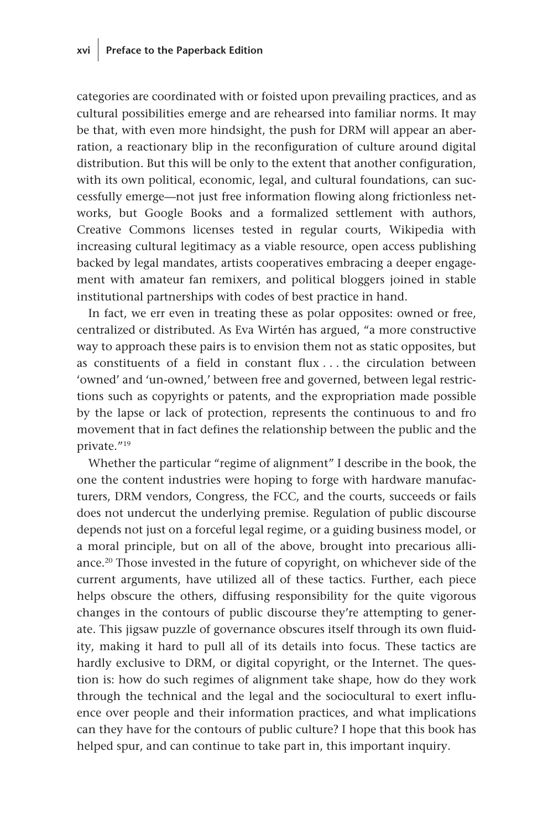categories are coordinated with or foisted upon prevailing practices, and as cultural possibilities emerge and are rehearsed into familiar norms. It may be that, with even more hindsight, the push for DRM will appear an aberration, a reactionary blip in the reconfiguration of culture around digital distribution. But this will be only to the extent that another configuration, with its own political, economic, legal, and cultural foundations, can successfully emerge—not just free information flowing along frictionless networks, but Google Books and a formalized settlement with authors, Creative Commons licenses tested in regular courts, Wikipedia with increasing cultural legitimacy as a viable resource, open access publishing backed by legal mandates, artists cooperatives embracing a deeper engagement with amateur fan remixers, and political bloggers joined in stable institutional partnerships with codes of best practice in hand.

In fact, we err even in treating these as polar opposites: owned or free, centralized or distributed. As Eva Wirtén has argued, "a more constructive way to approach these pairs is to envision them not as static opposites, but as constituents of a field in constant flux . . . the circulation between 'owned' and 'un-owned,' between free and governed, between legal restrictions such as copyrights or patents, and the expropriation made possible by the lapse or lack of protection, represents the continuous to and fro movement that in fact defines the relationship between the public and the private."19

Whether the particular "regime of alignment" I describe in the book, the one the content industries were hoping to forge with hardware manufacturers, DRM vendors, Congress, the FCC, and the courts, succeeds or fails does not undercut the underlying premise. Regulation of public discourse depends not just on a forceful legal regime, or a guiding business model, or a moral principle, but on all of the above, brought into precarious alliance.20 Those invested in the future of copyright, on whichever side of the current arguments, have utilized all of these tactics. Further, each piece helps obscure the others, diffusing responsibility for the quite vigorous changes in the contours of public discourse they're attempting to generate. This jigsaw puzzle of governance obscures itself through its own fluidity, making it hard to pull all of its details into focus. These tactics are hardly exclusive to DRM, or digital copyright, or the Internet. The question is: how do such regimes of alignment take shape, how do they work through the technical and the legal and the sociocultural to exert influence over people and their information practices, and what implications can they have for the contours of public culture? I hope that this book has helped spur, and can continue to take part in, this important inquiry.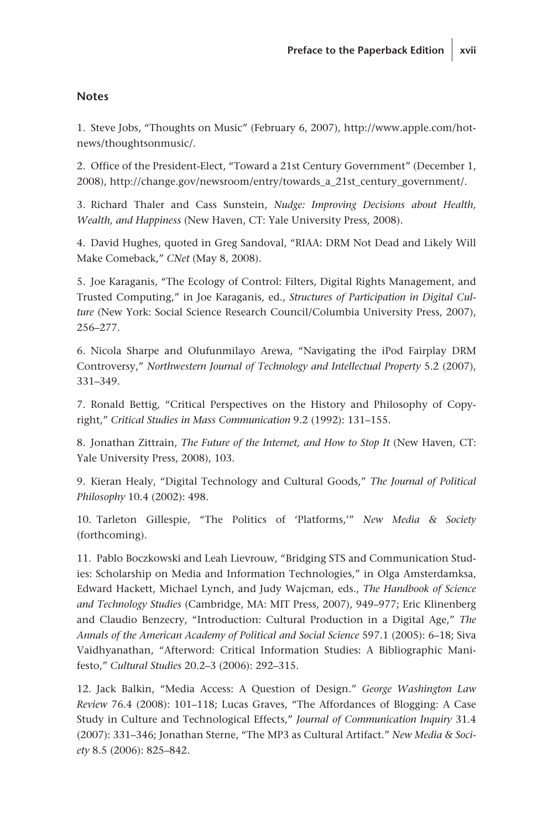### **Notes**

1. Steve Jobs, "Thoughts on Music" (February 6, 2007), http://www.apple.com/hotnews/thoughtsonmusic/.

2. Office of the President-Elect, "Toward a 21st Century Government" (December 1, 2008), http://change.gov/newsroom/entry/towards\_a\_21st\_century\_government/.

3. Richard Thaler and Cass Sunstein, *Nudge: Improving Decisions about Health, Wealth, and Happiness* (New Haven, CT: Yale University Press, 2008).

4. David Hughes, quoted in Greg Sandoval, "RIAA: DRM Not Dead and Likely Will Make Comeback," *CNet* (May 8, 2008).

5. Joe Karaganis, "The Ecology of Control: Filters, Digital Rights Management, and Trusted Computing," in Joe Karaganis, ed., *Structures of Participation in Digital Culture* (New York: Social Science Research Council/Columbia University Press, 2007), 256–277.

6. Nicola Sharpe and Olufunmilayo Arewa, "Navigating the iPod Fairplay DRM Controversy," *Northwestern Journal of Technology and Intellectual Property* 5.2 (2007), 331–349.

7. Ronald Bettig, "Critical Perspectives on the History and Philosophy of Copyright," *Critical Studies in Mass Communication* 9.2 (1992): 131–155.

8. Jonathan Zittrain, *The Future of the Internet, and How to Stop It* (New Haven, CT: Yale University Press, 2008), 103.

9. Kieran Healy, "Digital Technology and Cultural Goods," *The Journal of Political Philosophy* 10.4 (2002): 498.

10. Tarleton Gillespie, "The Politics of 'Platforms,'" *New Media & Society* (forthcoming).

11. Pablo Boczkowski and Leah Lievrouw, "Bridging STS and Communication Studies: Scholarship on Media and Information Technologies," in Olga Amsterdamksa, Edward Hackett, Michael Lynch, and Judy Wajcman, eds., *The Handbook of Science and Technology Studies* (Cambridge, MA: MIT Press, 2007), 949–977; Eric Klinenberg and Claudio Benzecry, "Introduction: Cultural Production in a Digital Age," *The Annals of the American Academy of Political and Social Science* 597.1 (2005): 6–18; Siva Vaidhyanathan, "Afterword: Critical Information Studies: A Bibliographic Manifesto," *Cultural Studies* 20.2–3 (2006): 292–315.

12. Jack Balkin, "Media Access: A Question of Design." *George Washington Law Review* 76.4 (2008): 101–118; Lucas Graves, "The Affordances of Blogging: A Case Study in Culture and Technological Effects," *Journal of Communication Inquiry* 31.4 (2007): 331–346; Jonathan Sterne, "The MP3 as Cultural Artifact." *New Media & Society* 8.5 (2006): 825–842.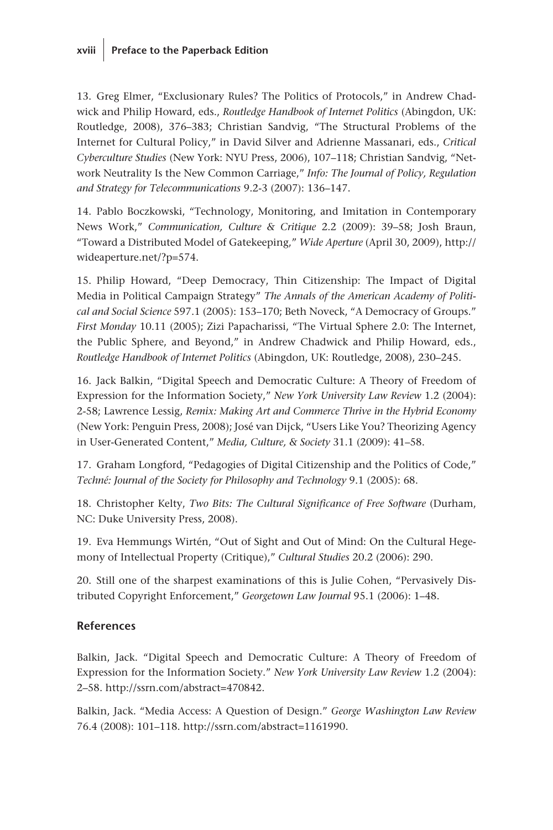## **xviii Preface to the Paperback Edition**

13. Greg Elmer, "Exclusionary Rules? The Politics of Protocols," in Andrew Chadwick and Philip Howard, eds., *Routledge Handbook of Internet Politics* (Abingdon, UK: Routledge, 2008), 376–383; Christian Sandvig, "The Structural Problems of the Internet for Cultural Policy," in David Silver and Adrienne Massanari, eds., *Critical Cyberculture Studies* (New York: NYU Press, 2006), 107–118; Christian Sandvig, "Network Neutrality Is the New Common Carriage," *Info: The Journal of Policy, Regulation and Strategy for Telecommunications* 9.2-3 (2007): 136–147.

14. Pablo Boczkowski, "Technology, Monitoring, and Imitation in Contemporary News Work," *Communication, Culture & Critique* 2.2 (2009): 39–58; Josh Braun, "Toward a Distributed Model of Gatekeeping," *Wide Aperture* (April 30, 2009), http:// wideaperture.net/?p=574.

15. Philip Howard, "Deep Democracy, Thin Citizenship: The Impact of Digital Media in Political Campaign Strategy" *The Annals of the American Academy of Political and Social Science* 597.1 (2005): 153–170; Beth Noveck, "A Democracy of Groups." *First Monday* 10.11 (2005); Zizi Papacharissi, "The Virtual Sphere 2.0: The Internet, the Public Sphere, and Beyond," in Andrew Chadwick and Philip Howard, eds., *Routledge Handbook of Internet Politics* (Abingdon, UK: Routledge, 2008), 230–245.

16. Jack Balkin, "Digital Speech and Democratic Culture: A Theory of Freedom of Expression for the Information Society," *New York University Law Review* 1.2 (2004): 2-58; Lawrence Lessig, *Remix: Making Art and Commerce Thrive in the Hybrid Economy* (New York: Penguin Press, 2008); José van Dijck, "Users Like You? Theorizing Agency in User-Generated Content," *Media, Culture, & Society* 31.1 (2009): 41–58.

17. Graham Longford, "Pedagogies of Digital Citizenship and the Politics of Code," *Techné: Journal of the Society for Philosophy and Technology* 9.1 (2005): 68.

18. Christopher Kelty, *Two Bits: The Cultural Significance of Free Software* (Durham, NC: Duke University Press, 2008).

19. Eva Hemmungs Wirtén, "Out of Sight and Out of Mind: On the Cultural Hegemony of Intellectual Property (Critique)," *Cultural Studies* 20.2 (2006): 290.

20. Still one of the sharpest examinations of this is Julie Cohen, "Pervasively Distributed Copyright Enforcement," *Georgetown Law Journal* 95.1 (2006): 1–48.

## **References**

Balkin, Jack. "Digital Speech and Democratic Culture: A Theory of Freedom of Expression for the Information Society." *New York University Law Review* 1.2 (2004): 2–58. http://ssrn.com/abstract=470842.

Balkin, Jack. "Media Access: A Question of Design." *George Washington Law Review* 76.4 (2008): 101–118. http://ssrn.com/abstract=1161990.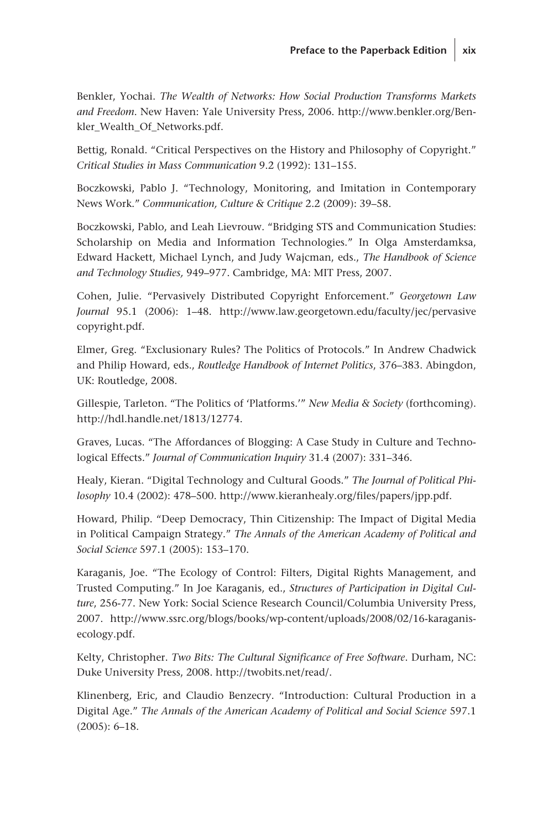Benkler, Yochai. *The Wealth of Networks: How Social Production Transforms Markets and Freedom*. New Haven: Yale University Press, 2006. http://www.benkler.org/Benkler\_Wealth\_Of\_Networks.pdf.

Bettig, Ronald. "Critical Perspectives on the History and Philosophy of Copyright." *Critical Studies in Mass Communication* 9.2 (1992): 131–155.

Boczkowski, Pablo J. "Technology, Monitoring, and Imitation in Contemporary News Work." *Communication, Culture & Critique* 2.2 (2009): 39–58.

Boczkowski, Pablo, and Leah Lievrouw. "Bridging STS and Communication Studies: Scholarship on Media and Information Technologies." In Olga Amsterdamksa, Edward Hackett, Michael Lynch, and Judy Wajcman, eds., *The Handbook of Science and Technology Studies,* 949–977. Cambridge, MA: MIT Press, 2007.

Cohen, Julie. "Pervasively Distributed Copyright Enforcement." *Georgetown Law Journal* 95.1 (2006): 1–48. http://www.law.georgetown.edu/faculty/jec/pervasive copyright.pdf.

Elmer, Greg. "Exclusionary Rules? The Politics of Protocols." In Andrew Chadwick and Philip Howard, eds., *Routledge Handbook of Internet Politics*, 376–383. Abingdon, UK: Routledge, 2008.

Gillespie, Tarleton. "The Politics of 'Platforms.'" *New Media & Society* (forthcoming). http://hdl.handle.net/1813/12774.

Graves, Lucas. "The Affordances of Blogging: A Case Study in Culture and Technological Effects." *Journal of Communication Inquiry* 31.4 (2007): 331–346.

Healy, Kieran. "Digital Technology and Cultural Goods." *The Journal of Political Philosophy* 10.4 (2002): 478–500. http://www.kieranhealy.org/files/papers/jpp.pdf.

Howard, Philip. "Deep Democracy, Thin Citizenship: The Impact of Digital Media in Political Campaign Strategy." *The Annals of the American Academy of Political and Social Science* 597.1 (2005): 153–170.

Karaganis, Joe. "The Ecology of Control: Filters, Digital Rights Management, and Trusted Computing." In Joe Karaganis, ed., *Structures of Participation in Digital Culture*, 256-77. New York: Social Science Research Council/Columbia University Press, 2007. http://www.ssrc.org/blogs/books/wp-content/uploads/2008/02/16-karaganisecology.pdf.

Kelty, Christopher. *Two Bits: The Cultural Significance of Free Software*. Durham, NC: Duke University Press, 2008. http://twobits.net/read/.

Klinenberg, Eric, and Claudio Benzecry. "Introduction: Cultural Production in a Digital Age." *The Annals of the American Academy of Political and Social Science* 597.1 (2005): 6–18.